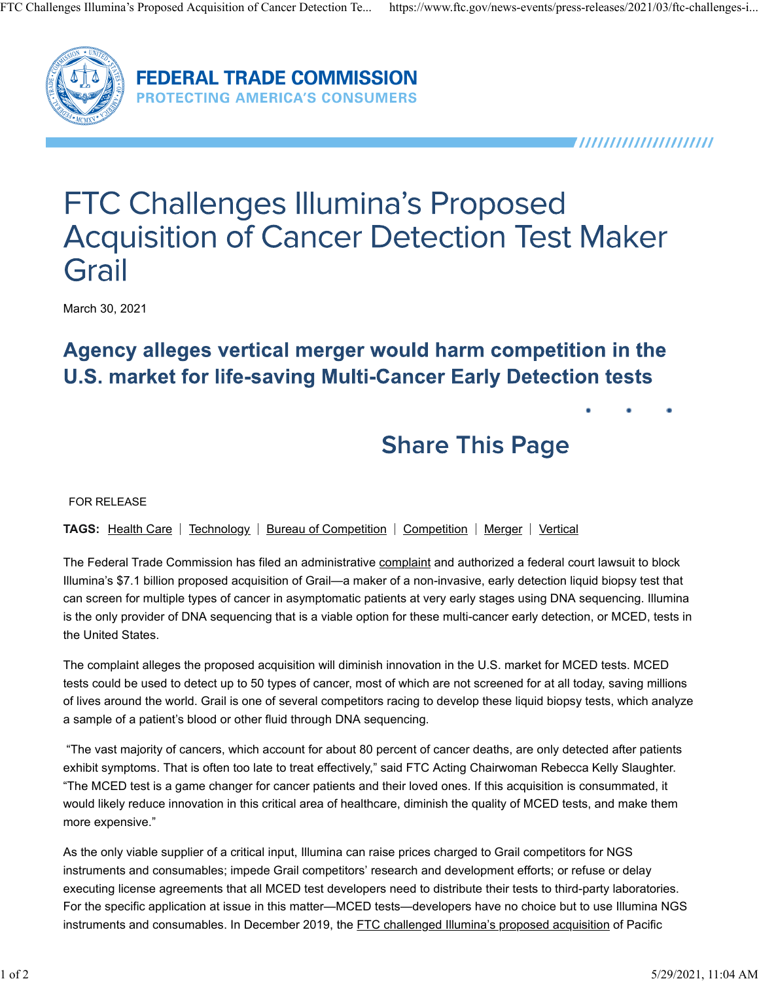

**FEDERAL TRADE COMMISSION PROTECTING AMERICA'S CONSUMERS** 

,,,,,,,,,,,,,,,,,,,,,

# **FTC Challenges Illumina's Proposed Acquisition of Cancer Detection Test Maker** Grail

March 30, 2021

### Agency alleges vertical merger would harm competition in the **U.S. market for life-saving Multi-Cancer Early Detection tests**

## **Share This Page**

FOR RELEASE

**TAGS:** Health Care | Technology | Bureau of Competition | Competition | Merger | Vertical

The Federal Trade Commission has filed an administrative complaint and authorized a federal court lawsuit to block Illumina's \$7.1 billion proposed acquisition of Grail—a maker of a non-invasive, early detection liquid biopsy test that can screen for multiple types of cancer in asymptomatic patients at very early stages using DNA sequencing. Illumina is the only provider of DNA sequencing that is a viable option for these multi-cancer early detection, or MCED, tests in the United States.

The complaint alleges the proposed acquisition will diminish innovation in the U.S. market for MCED tests. MCED tests could be used to detect up to 50 types of cancer, most of which are not screened for at all today, saving millions of lives around the world. Grail is one of several competitors racing to develop these liquid biopsy tests, which analyze a sample of a patient's blood or other fluid through DNA sequencing.

 "The vast majority of cancers, which account for about 80 percent of cancer deaths, are only detected after patients exhibit symptoms. That is often too late to treat effectively," said FTC Acting Chairwoman Rebecca Kelly Slaughter. "The MCED test is a game changer for cancer patients and their loved ones. If this acquisition is consummated, it would likely reduce innovation in this critical area of healthcare, diminish the quality of MCED tests, and make them more expensive."

As the only viable supplier of a critical input, Illumina can raise prices charged to Grail competitors for NGS instruments and consumables; impede Grail competitors' research and development efforts; or refuse or delay executing license agreements that all MCED test developers need to distribute their tests to third-party laboratories. For the specific application at issue in this matter—MCED tests—developers have no choice but to use Illumina NGS instruments and consumables. In December 2019, the FTC challenged Illumina's proposed acquisition of Pacific